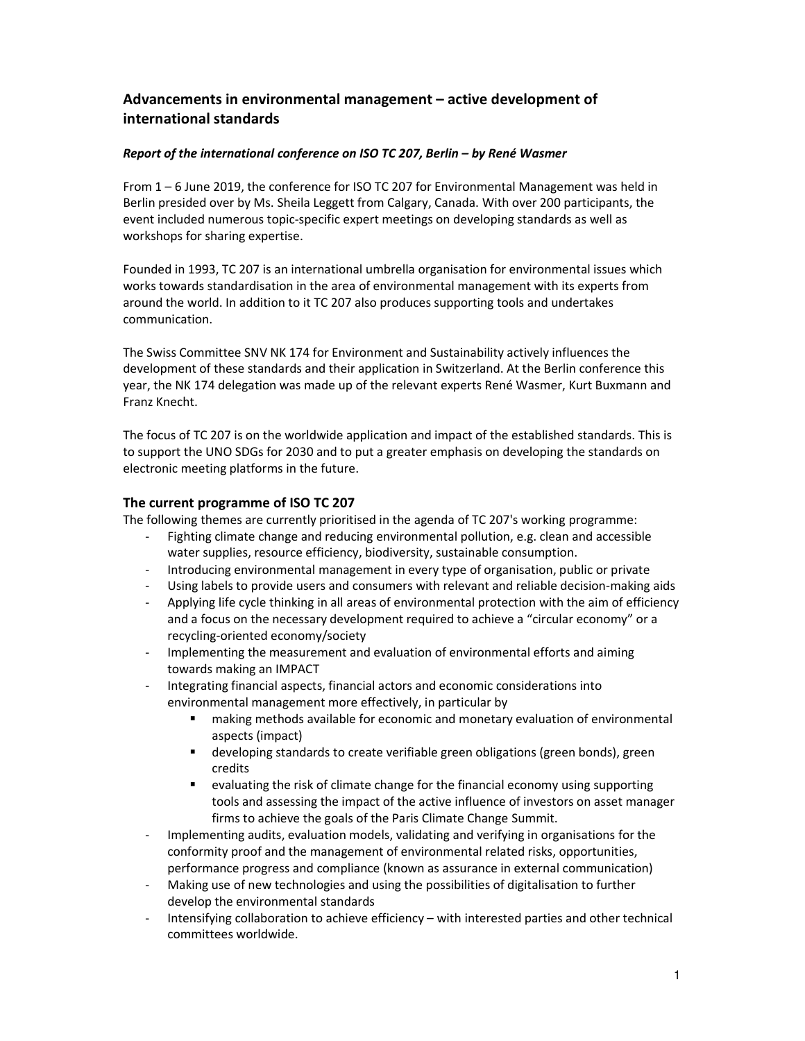# **Advancements in environmental management – active development of international standards**

# *Report of the international conference on ISO TC 207, Berlin – by René Wasmer*

From 1 – 6 June 2019, the conference for ISO TC 207 for Environmental Management was held in Berlin presided over by Ms. Sheila Leggett from Calgary, Canada. With over 200 participants, the event included numerous topic-specific expert meetings on developing standards as well as workshops for sharing expertise.

Founded in 1993, TC 207 is an international umbrella organisation for environmental issues which works towards standardisation in the area of environmental management with its experts from around the world. In addition to it TC 207 also produces supporting tools and undertakes communication.

The Swiss Committee SNV NK 174 for Environment and Sustainability actively influences the development of these standards and their application in Switzerland. At the Berlin conference this year, the NK 174 delegation was made up of the relevant experts René Wasmer, Kurt Buxmann and Franz Knecht.

The focus of TC 207 is on the worldwide application and impact of the established standards. This is to support the UNO SDGs for 2030 and to put a greater emphasis on developing the standards on electronic meeting platforms in the future.

# **The current programme of ISO TC 207**

The following themes are currently prioritised in the agenda of TC 207's working programme:

- Fighting climate change and reducing environmental pollution, e.g. clean and accessible water supplies, resource efficiency, biodiversity, sustainable consumption.
- Introducing environmental management in every type of organisation, public or private
- Using labels to provide users and consumers with relevant and reliable decision-making aids
- Applying life cycle thinking in all areas of environmental protection with the aim of efficiency and a focus on the necessary development required to achieve a "circular economy" or a recycling-oriented economy/society
- Implementing the measurement and evaluation of environmental efforts and aiming towards making an IMPACT
- Integrating financial aspects, financial actors and economic considerations into environmental management more effectively, in particular by
	- making methods available for economic and monetary evaluation of environmental aspects (impact)
	- developing standards to create verifiable green obligations (green bonds), green credits
	- evaluating the risk of climate change for the financial economy using supporting tools and assessing the impact of the active influence of investors on asset manager firms to achieve the goals of the Paris Climate Change Summit.
- Implementing audits, evaluation models, validating and verifying in organisations for the conformity proof and the management of environmental related risks, opportunities, performance progress and compliance (known as assurance in external communication)
- Making use of new technologies and using the possibilities of digitalisation to further develop the environmental standards
- Intensifying collaboration to achieve efficiency with interested parties and other technical committees worldwide.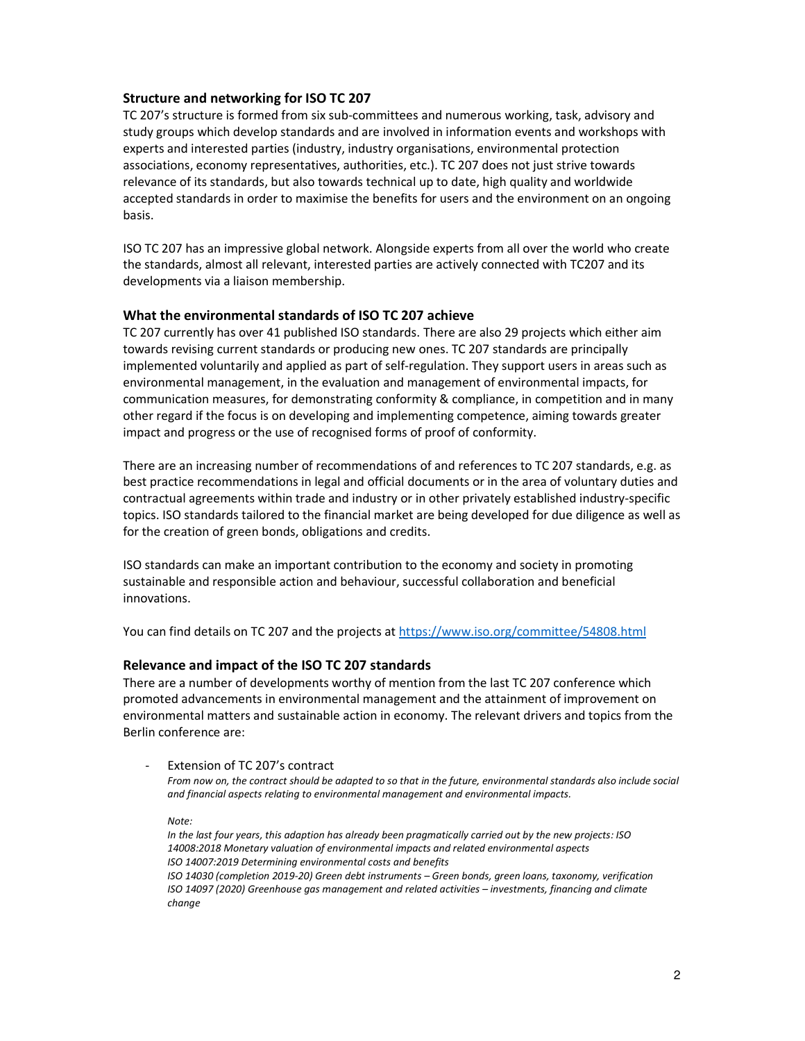# **Structure and networking for ISO TC 207**

TC 207's structure is formed from six sub-committees and numerous working, task, advisory and study groups which develop standards and are involved in information events and workshops with experts and interested parties (industry, industry organisations, environmental protection associations, economy representatives, authorities, etc.). TC 207 does not just strive towards relevance of its standards, but also towards technical up to date, high quality and worldwide accepted standards in order to maximise the benefits for users and the environment on an ongoing basis.

ISO TC 207 has an impressive global network. Alongside experts from all over the world who create the standards, almost all relevant, interested parties are actively connected with TC207 and its developments via a liaison membership.

### **What the environmental standards of ISO TC 207 achieve**

TC 207 currently has over 41 published ISO standards. There are also 29 projects which either aim towards revising current standards or producing new ones. TC 207 standards are principally implemented voluntarily and applied as part of self-regulation. They support users in areas such as environmental management, in the evaluation and management of environmental impacts, for communication measures, for demonstrating conformity & compliance, in competition and in many other regard if the focus is on developing and implementing competence, aiming towards greater impact and progress or the use of recognised forms of proof of conformity.

There are an increasing number of recommendations of and references to TC 207 standards, e.g. as best practice recommendations in legal and official documents or in the area of voluntary duties and contractual agreements within trade and industry or in other privately established industry-specific topics. ISO standards tailored to the financial market are being developed for due diligence as well as for the creation of green bonds, obligations and credits.

ISO standards can make an important contribution to the economy and society in promoting sustainable and responsible action and behaviour, successful collaboration and beneficial innovations.

You can find details on TC 207 and the projects at https://www.iso.org/committee/54808.html

# **Relevance and impact of the ISO TC 207 standards**

There are a number of developments worthy of mention from the last TC 207 conference which promoted advancements in environmental management and the attainment of improvement on environmental matters and sustainable action in economy. The relevant drivers and topics from the Berlin conference are:

Extension of TC 207's contract

*From now on, the contract should be adapted to so that in the future, environmental standards also include social and financial aspects relating to environmental management and environmental impacts.* 

*Note:* 

*In the last four years, this adaption has already been pragmatically carried out by the new projects: ISO 14008:2018 Monetary valuation of environmental impacts and related environmental aspects ISO 14007:2019 Determining environmental costs and benefits ISO 14030 (completion 2019-20) Green debt instruments – Green bonds, green loans, taxonomy, verification ISO 14097 (2020) Greenhouse gas management and related activities – investments, financing and climate change*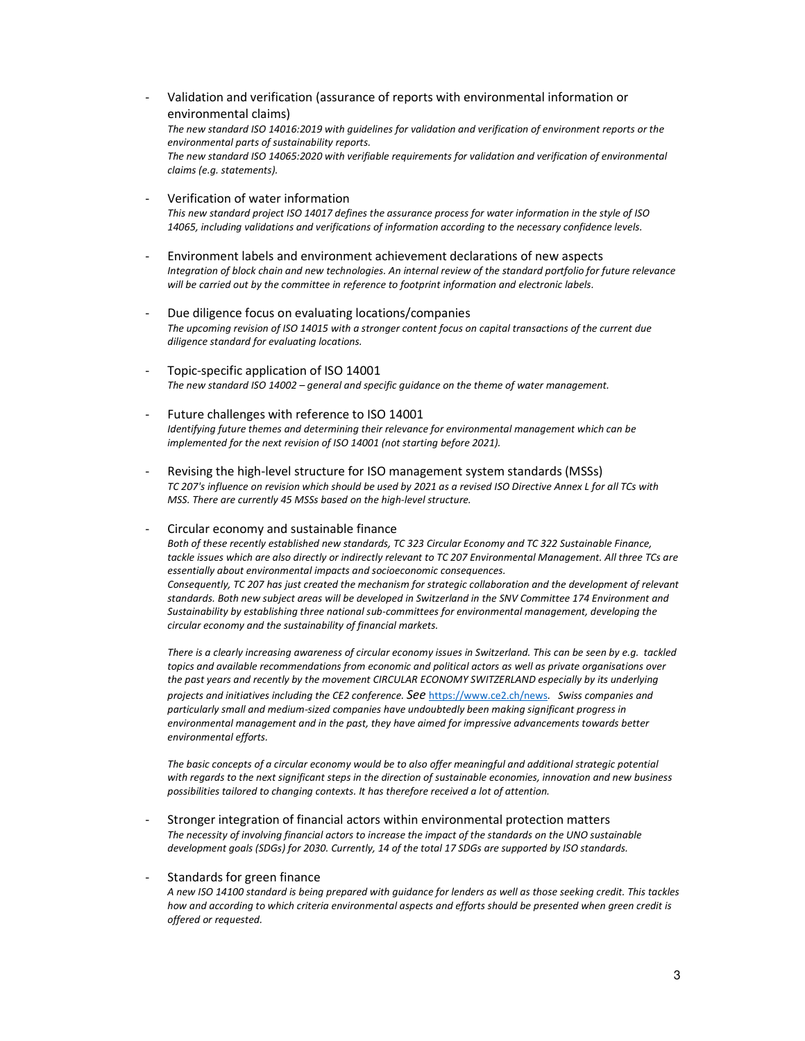- Validation and verification (assurance of reports with environmental information or environmental claims) *The new standard ISO 14016:2019 with guidelines for validation and verification of environment reports or the environmental parts of sustainability reports. The new standard ISO 14065:2020 with verifiable requirements for validation and verification of environmental claims (e.g. statements).*
- Verification of water information *This new standard project ISO 14017 defines the assurance process for water information in the style of ISO 14065, including validations and verifications of information according to the necessary confidence levels.*
- Environment labels and environment achievement declarations of new aspects *Integration of block chain and new technologies. An internal review of the standard portfolio for future relevance will be carried out by the committee in reference to footprint information and electronic labels.*
- Due diligence focus on evaluating locations/companies *The upcoming revision of ISO 14015 with a stronger content focus on capital transactions of the current due diligence standard for evaluating locations.*
- Topic-specific application of ISO 14001 *The new standard ISO 14002 – general and specific guidance on the theme of water management.*
- Future challenges with reference to ISO 14001 *Identifying future themes and determining their relevance for environmental management which can be implemented for the next revision of ISO 14001 (not starting before 2021).*
- Revising the high-level structure for ISO management system standards (MSSs) *TC 207's influence on revision which should be used by 2021 as a revised ISO Directive Annex L for all TCs with MSS. There are currently 45 MSSs based on the high-level structure.*

- Circular economy and sustainable finance

*Both of these recently established new standards, TC 323 Circular Economy and TC 322 Sustainable Finance, tackle issues which are also directly or indirectly relevant to TC 207 Environmental Management. All three TCs are essentially about environmental impacts and socioeconomic consequences. Consequently, TC 207 has just created the mechanism for strategic collaboration and the development of relevant standards. Both new subject areas will be developed in Switzerland in the SNV Committee 174 Environment and Sustainability by establishing three national sub-committees for environmental management, developing the circular economy and the sustainability of financial markets.* 

*There is a clearly increasing awareness of circular economy issues in Switzerland. This can be seen by e.g. tackled topics and available recommendations from economic and political actors as well as private organisations over the past years and recently by the movement CIRCULAR ECONOMY SWITZERLAND especially by its underlying projects and initiatives including the CE2 conference. See* https://www.ce2.ch/news*. Swiss companies and particularly small and medium-sized companies have undoubtedly been making significant progress in environmental management and in the past, they have aimed for impressive advancements towards better environmental efforts.* 

*The basic concepts of a circular economy would be to also offer meaningful and additional strategic potential with regards to the next significant steps in the direction of sustainable economies, innovation and new business possibilities tailored to changing contexts. It has therefore received a lot of attention.* 

- Stronger integration of financial actors within environmental protection matters *The necessity of involving financial actors to increase the impact of the standards on the UNO sustainable development goals (SDGs) for 2030. Currently, 14 of the total 17 SDGs are supported by ISO standards.* 

#### - Standards for green finance

*A new ISO 14100 standard is being prepared with guidance for lenders as well as those seeking credit. This tackles how and according to which criteria environmental aspects and efforts should be presented when green credit is offered or requested.*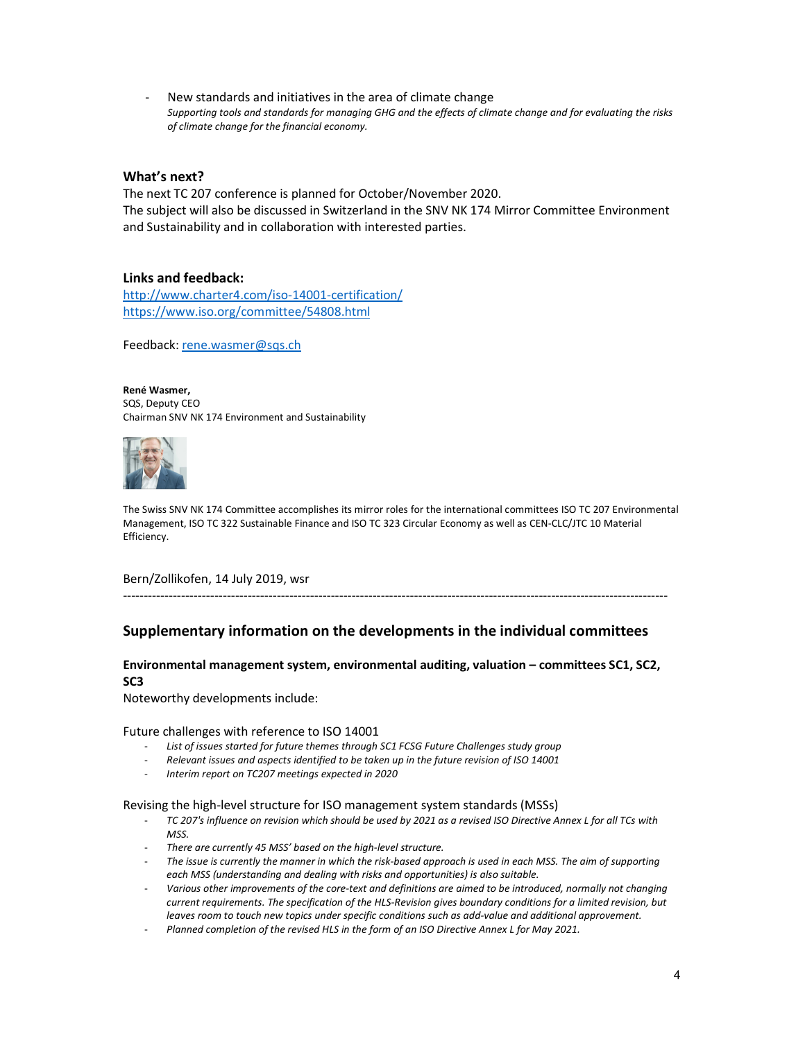New standards and initiatives in the area of climate change *Supporting tools and standards for managing GHG and the effects of climate change and for evaluating the risks of climate change for the financial economy.* 

# **What's next?**

The next TC 207 conference is planned for October/November 2020. The subject will also be discussed in Switzerland in the SNV NK 174 Mirror Committee Environment and Sustainability and in collaboration with interested parties.

# **Links and feedback:**

http://www.charter4.com/iso-14001-certification/ https://www.iso.org/committee/54808.html

Feedback: rene.wasmer@sqs.ch

#### **René Wasmer,**

SQS, Deputy CEO Chairman SNV NK 174 Environment and Sustainability



The Swiss SNV NK 174 Committee accomplishes its mirror roles for the international committees ISO TC 207 Environmental Management, ISO TC 322 Sustainable Finance and ISO TC 323 Circular Economy as well as CEN-CLC/JTC 10 Material Efficiency.

Bern/Zollikofen, 14 July 2019, wsr

# **Supplementary information on the developments in the individual committees**

-----------------------------------------------------------------------------------------------------------------------------------

# **Environmental management system, environmental auditing, valuation – committees SC1, SC2, SC3**

Noteworthy developments include:

Future challenges with reference to ISO 14001

- List of issues started for future themes through SC1 FCSG Future Challenges study group
- *Relevant issues and aspects identified to be taken up in the future revision of ISO 14001*
- *Interim report on TC207 meetings expected in 2020*

Revising the high-level structure for ISO management system standards (MSSs)

- *TC 207's influence on revision which should be used by 2021 as a revised ISO Directive Annex L for all TCs with MSS.*
- *There are currently 45 MSS' based on the high-level structure.*
- *The issue is currently the manner in which the risk-based approach is used in each MSS. The aim of supporting each MSS (understanding and dealing with risks and opportunities) is also suitable.*
- *Various other improvements of the core-text and definitions are aimed to be introduced, normally not changing current requirements. The specification of the HLS-Revision gives boundary conditions for a limited revision, but leaves room to touch new topics under specific conditions such as add-value and additional approvement.*
- *Planned completion of the revised HLS in the form of an ISO Directive Annex L for May 2021.*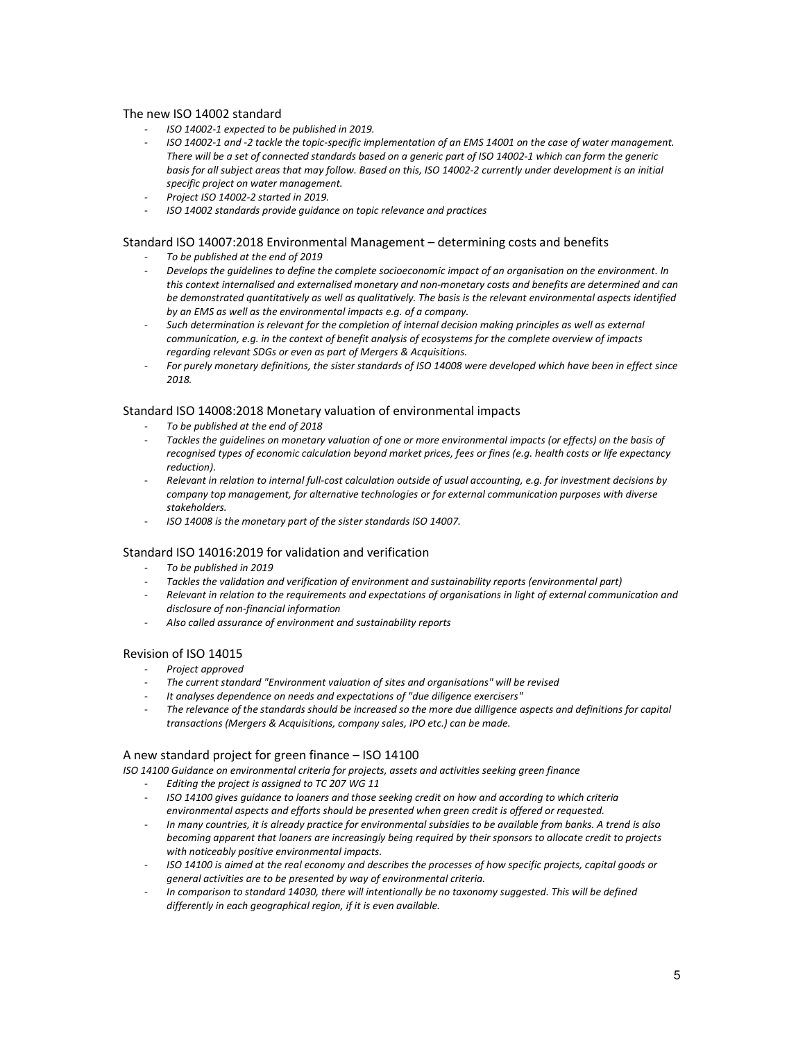#### The new ISO 14002 standard

- *ISO 14002-1 expected to be published in 2019.*
- *ISO 14002-1 and -2 tackle the topic-specific implementation of an EMS 14001 on the case of water management. There will be a set of connected standards based on a generic part of ISO 14002-1 which can form the generic basis for all subject areas that may follow. Based on this, ISO 14002-2 currently under development is an initial specific project on water management.*
- *Project ISO 14002-2 started in 2019.*
- *ISO 14002 standards provide guidance on topic relevance and practices*

#### Standard ISO 14007:2018 Environmental Management – determining costs and benefits

- *To be published at the end of 2019*
- *Develops the guidelines to define the complete socioeconomic impact of an organisation on the environment. In this context internalised and externalised monetary and non-monetary costs and benefits are determined and can be demonstrated quantitatively as well as qualitatively. The basis is the relevant environmental aspects identified by an EMS as well as the environmental impacts e.g. of a company.*
- Such determination is relevant for the completion of internal decision making principles as well as external *communication, e.g. in the context of benefit analysis of ecosystems for the complete overview of impacts regarding relevant SDGs or even as part of Mergers & Acquisitions.*
- *For purely monetary definitions, the sister standards of ISO 14008 were developed which have been in effect since 2018.*

#### Standard ISO 14008:2018 Monetary valuation of environmental impacts

- *To be published at the end of 2018*
- *Tackles the guidelines on monetary valuation of one or more environmental impacts (or effects) on the basis of recognised types of economic calculation beyond market prices, fees or fines (e.g. health costs or life expectancy reduction).*
- *Relevant in relation to internal full-cost calculation outside of usual accounting, e.g. for investment decisions by company top management, for alternative technologies or for external communication purposes with diverse stakeholders.*
- *ISO 14008 is the monetary part of the sister standards ISO 14007.*

#### Standard ISO 14016:2019 for validation and verification

- *To be published in 2019*
- *Tackles the validation and verification of environment and sustainability reports (environmental part)*
- *Relevant in relation to the requirements and expectations of organisations in light of external communication and disclosure of non-financial information*
- *Also called assurance of environment and sustainability reports*

#### Revision of ISO 14015

- *Project approved*
- *The current standard "Environment valuation of sites and organisations" will be revised*
- *It analyses dependence on needs and expectations of "due diligence exercisers"*
- *The relevance of the standards should be increased so the more due dilligence aspects and definitions for capital transactions (Mergers & Acquisitions, company sales, IPO etc.) can be made.*

#### A new standard project for green finance – ISO 14100

*ISO 14100 Guidance on environmental criteria for projects, assets and activities seeking green finance*

- *Editing the project is assigned to TC 207 WG 11*
- *ISO 14100 gives guidance to loaners and those seeking credit on how and according to which criteria environmental aspects and efforts should be presented when green credit is offered or requested.*
- *In many countries, it is already practice for environmental subsidies to be available from banks. A trend is also becoming apparent that loaners are increasingly being required by their sponsors to allocate credit to projects with noticeably positive environmental impacts.*
- *ISO 14100 is aimed at the real economy and describes the processes of how specific projects, capital goods or general activities are to be presented by way of environmental criteria.*
- *In comparison to standard 14030, there will intentionally be no taxonomy suggested. This will be defined differently in each geographical region, if it is even available.*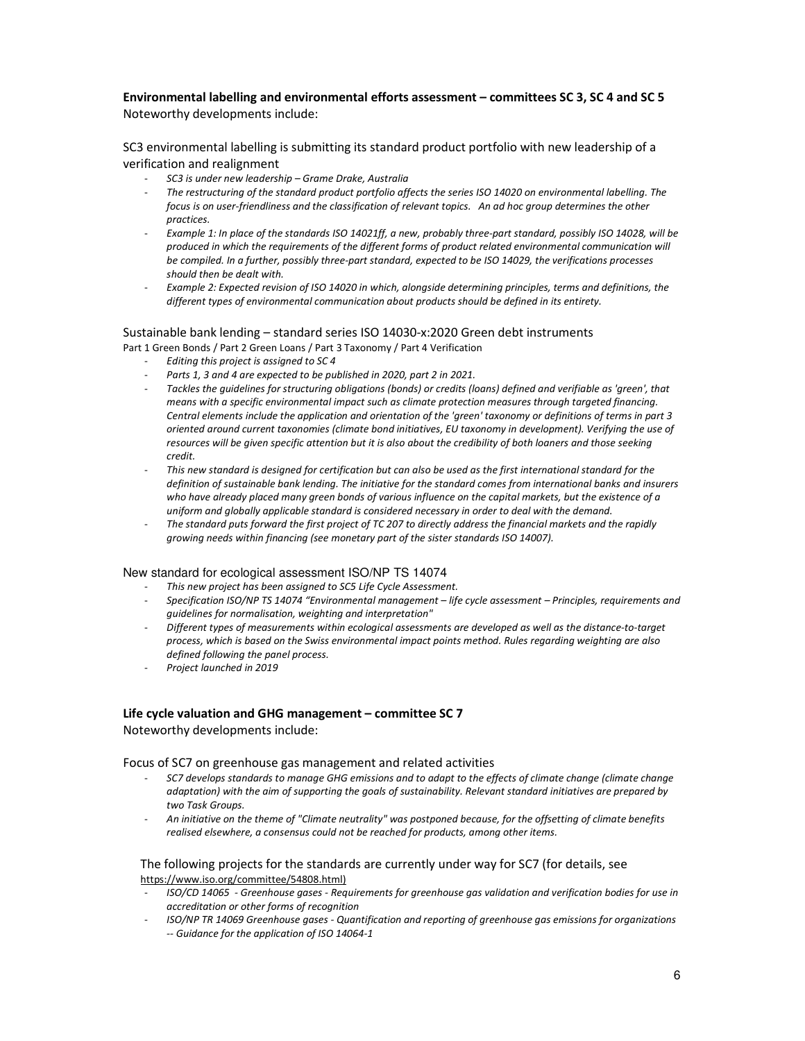## **Environmental labelling and environmental efforts assessment – committees SC 3, SC 4 and SC 5**  Noteworthy developments include:

SC3 environmental labelling is submitting its standard product portfolio with new leadership of a verification and realignment

- *SC3 is under new leadership Grame Drake, Australia*
- *The restructuring of the standard product portfolio affects the series ISO 14020 on environmental labelling. The focus is on user-friendliness and the classification of relevant topics. An ad hoc group determines the other practices.*
- *Example 1: In place of the standards ISO 14021ff, a new, probably three-part standard, possibly ISO 14028, will be produced in which the requirements of the different forms of product related environmental communication will be compiled. In a further, possibly three-part standard, expected to be ISO 14029, the verifications processes should then be dealt with.*
- *Example 2: Expected revision of ISO 14020 in which, alongside determining principles, terms and definitions, the different types of environmental communication about products should be defined in its entirety.*

# Sustainable bank lending – standard series ISO 14030-x:2020 Green debt instruments

Part 1 Green Bonds / Part 2 Green Loans / Part 3 Taxonomy / Part 4 Verification

- *Editing this project is assigned to SC 4*
- Parts 1, 3 and 4 are expected to be published in 2020, part 2 in 2021.
- *Tackles the guidelines for structuring obligations (bonds) or credits (loans) defined and verifiable as 'green', that means with a specific environmental impact such as climate protection measures through targeted financing. Central elements include the application and orientation of the 'green' taxonomy or definitions of terms in part 3 oriented around current taxonomies (climate bond initiatives, EU taxonomy in development). Verifying the use of resources will be given specific attention but it is also about the credibility of both loaners and those seeking credit.*
- *This new standard is designed for certification but can also be used as the first international standard for the definition of sustainable bank lending. The initiative for the standard comes from international banks and insurers who have already placed many green bonds of various influence on the capital markets, but the existence of a uniform and globally applicable standard is considered necessary in order to deal with the demand.*
- *The standard puts forward the first project of TC 207 to directly address the financial markets and the rapidly growing needs within financing (see monetary part of the sister standards ISO 14007).*

#### New standard for ecological assessment ISO/NP TS 14074

- *This new project has been assigned to SC5 Life Cycle Assessment.*
- *Specification ISO/NP TS 14074 "Environmental management life cycle assessment Principles, requirements and guidelines for normalisation, weighting and interpretation"*
- *Different types of measurements within ecological assessments are developed as well as the distance-to-target process, which is based on the Swiss environmental impact points method. Rules regarding weighting are also defined following the panel process.*
- *Project launched in 2019*

# **Life cycle valuation and GHG management – committee SC 7**

Noteworthy developments include:

Focus of SC7 on greenhouse gas management and related activities

- *SC7 develops standards to manage GHG emissions and to adapt to the effects of climate change (climate change adaptation) with the aim of supporting the goals of sustainability. Relevant standard initiatives are prepared by two Task Groups.*
- *An initiative on the theme of "Climate neutrality" was postponed because, for the offsetting of climate benefits realised elsewhere, a consensus could not be reached for products, among other items.*

#### The following projects for the standards are currently under way for SC7 (for details, see https://www.iso.org/committee/54808.html)

- *ISO/CD 14065 Greenhouse gases Requirements for greenhouse gas validation and verification bodies for use in accreditation or other forms of recognition*
- *ISO/NP TR 14069 Greenhouse gases Quantification and reporting of greenhouse gas emissions for organizations -- Guidance for the application of ISO 14064-1*